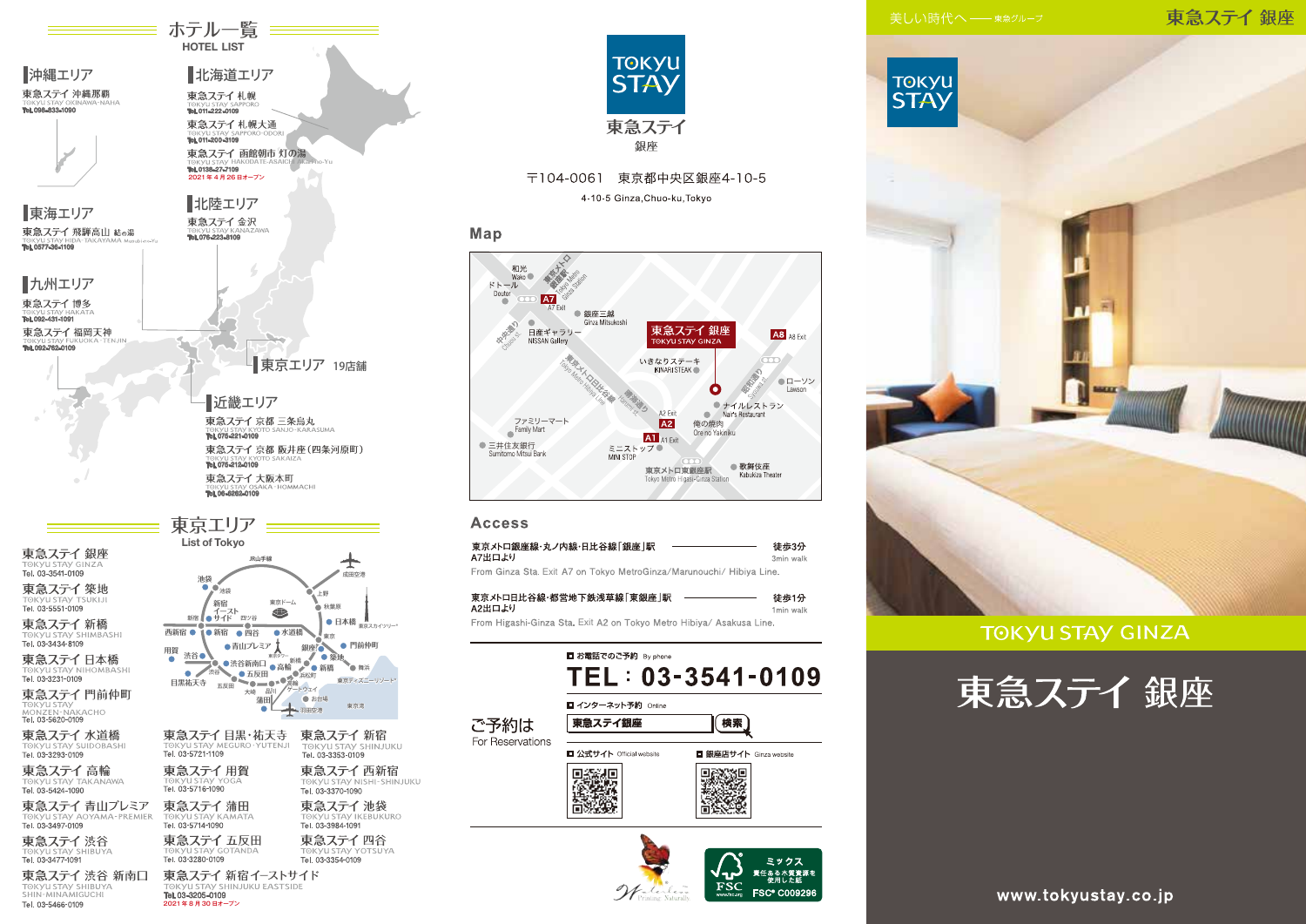東急ステイ銀座



## **TOKYU STAY GINZA**



List of Tokyo 東急ステイ銀座 JR山手紙 Tel. 03-3541-0109 池袋 東急ステイ築地  $\bullet$  ,  $\bullet$  ,  $\bullet$ 1⊞5 TOKYU STAY TSUKIJ 新宿 東京ドーム 新宿 イースト<br>新宿 ● サイド 四ツ谷  $\bullet$ 東急ステイ新橋 ÷Ö. 西新宿 ● 1●新宿 ● 四谷 ●水道橋 **TOKYU STAY SHIMBASHI** سما Tel. 03-3434-8109 ●青山プレミア 銀座 用賀 渋谷● 東急ステイ日本橋 TOKYU STAY NIHOMBASHI<br>Tel. 03-3231-0109  $\blacksquare$ 日黒祐天寺 五反田 東急ステイ門前仲町  $+45 - 5$ **O** assis 益田 TOKYU STAY<br>MONZEN-NAKACHO<br>**Tel. 03-5620-0109** 空港 東急ステイ 水道橋 東急ステイ目黒・祐天寺 TOKYU STAY MEGURO YUTENJI<br>Tel. 03-5721-1109 TOKYU STAY SUIDOBASHI<br>**Tel. 03-3293-0109** 東急ステイ高輪 東急ステイ用賀 TOKYU STAY TA **CANAWA** TORY USTAY TO 東急ステイ 青山プレミア 東急ステイ蒲田 TOK VILSTAV AOYAMA-PREMIER TOKYU STAY KAMATA Tel. 03-3497-0109 Tel. 03-5714-1090 東急ステイ五反田 東急ステイ渋谷 TOKVILSTAV GOTANDA a ד⇒ 1, 10 × 1, 10 × 1<br>1091-3477-1091 Tel. 03-3280-0109 東急ステイ 渋谷 新南口 東急ステイ 新宿イーストサイド TOKYU STAY SHIBUYA KVILSTAV SHINJUKU FASTSIDE Tel. 03-3205-0109 Tel. 03-5466-0109 2021年8月30日オープン

≡ ホテル一覧 <del>≡≡</del> **HOTEL LIST** 

北海道エリア

東急ステイ 函館朝市 灯の湯

近畿エリア

Tel. 075-221-0109

Tel. 075-212-0109

東急ステイ大阪本町

TORYU STAY OSAKA -<br>Tel. 06-6262-0109

東急ステイ 京都 三条烏丸

東急ステイ 京都 阪井座 (四条河原町)

東急ステイ札幌

Tel. 011-222-0109 東急ステイ札幌大通

TORYUSIAY SA

Tel. 0138-27-7109

2021年4月26日オープン

北陸エリア

東急ステイ金沢

Tel. 076-223-8109

■沖縄エリア

one ses ann ua

東海エリア

■九州エリア

東急ステイ博多

東急ステイ福岡天神

TORYU SIA Y HA<br>Tai 000 401 4001

Tel. 092-762-0109

TORYUSTAY HIL

東急ステイ 飛騨高山 結の湯

東急ステイ 沖縄那覇



- 東京エリア 19店舗

A A C H

東急ステイ四谷 **TOKYLI STAV YOTSHYA** Tel. 03-3354-0109



## 〒104-0061 東京都中央区銀座4-10-5 4-10-5 Ginza, Chuo-ku, Tokyo

## Map



## **Access**

| 東京メトロ銀座線・丸ノ内線・日比谷線「銀座  駅                                             | 徒歩3分      |
|----------------------------------------------------------------------|-----------|
| \7出口より                                                               | 3min walk |
| From Ginza Sta. Exit A7 on Tokyo MetroGinza/Marunouchi/ Hibiya Line. |           |

| 東京メトロ日比谷線・都営地下鉄浅草線「東銀座  駅                                            | 徒歩1分                 |
|----------------------------------------------------------------------|----------------------|
| A2出口より                                                               | 1 <sub>min wal</sub> |
| From Higashi-Ginza Sta. Exit A2 on Tokyo Metro Hibiya/ Asakusa Line. |                      |







www.tokyustay.co.jp